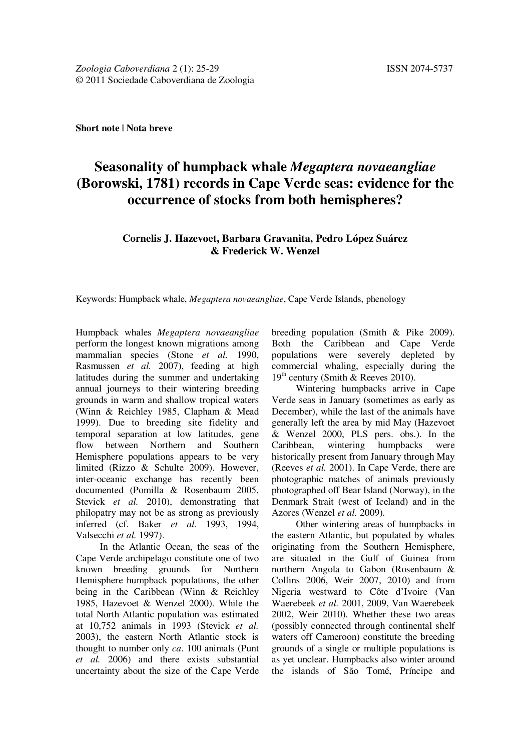**Short note | Nota breve**

## **Seasonality of humpback whale** *Megaptera novaeangliae*  **(Borowski, 1781) records in Cape Verde seas: evidence for the occurrence of stocks from both hemispheres?**

## **Cornelis J. Hazevoet, Barbara Gravanita, Pedro López Suárez & Frederick W. Wenzel**

Keywords: Humpback whale, *Megaptera novaeangliae*, Cape Verde Islands, phenology

Humpback whales *Megaptera novaeangliae*  perform the longest known migrations among mammalian species (Stone *et al.* 1990, Rasmussen *et al.* 2007), feeding at high latitudes during the summer and undertaking annual journeys to their wintering breeding grounds in warm and shallow tropical waters (Winn & Reichley 1985, Clapham & Mead 1999). Due to breeding site fidelity and temporal separation at low latitudes, gene flow between Northern and Southern Hemisphere populations appears to be very limited (Rizzo & Schulte 2009). However, inter-oceanic exchange has recently been documented (Pomilla & Rosenbaum 2005, Stevick *et al.* 2010), demonstrating that philopatry may not be as strong as previously inferred (cf. Baker *et al*. 1993, 1994, Valsecchi *et al.* 1997).

In the Atlantic Ocean, the seas of the Cape Verde archipelago constitute one of two known breeding grounds for Northern Hemisphere humpback populations, the other being in the Caribbean (Winn & Reichley 1985, Hazevoet & Wenzel 2000). While the total North Atlantic population was estimated at 10,752 animals in 1993 (Stevick *et al.*  2003), the eastern North Atlantic stock is thought to number only *ca*. 100 animals (Punt *et al.* 2006) and there exists substantial uncertainty about the size of the Cape Verde breeding population (Smith & Pike 2009). Both the Caribbean and Cape Verde populations were severely depleted by commercial whaling, especially during the  $19<sup>th</sup>$  century (Smith & Reeves 2010).

Wintering humpbacks arrive in Cape Verde seas in January (sometimes as early as December), while the last of the animals have generally left the area by mid May (Hazevoet & Wenzel 2000, PLS pers. obs.). In the Caribbean, wintering humpbacks were historically present from January through May (Reeves *et al.* 2001). In Cape Verde, there are photographic matches of animals previously photographed off Bear Island (Norway), in the Denmark Strait (west of Iceland) and in the Azores (Wenzel *et al.* 2009).

Other wintering areas of humpbacks in the eastern Atlantic, but populated by whales originating from the Southern Hemisphere, are situated in the Gulf of Guinea from northern Angola to Gabon (Rosenbaum & Collins 2006, Weir 2007, 2010) and from Nigeria westward to Côte d'Ivoire (Van Waerebeek *et al.* 2001, 2009, Van Waerebeek 2002, Weir 2010). Whether these two areas (possibly connected through continental shelf waters off Cameroon) constitute the breeding grounds of a single or multiple populations is as yet unclear. Humpbacks also winter around the islands of São Tomé, Príncipe and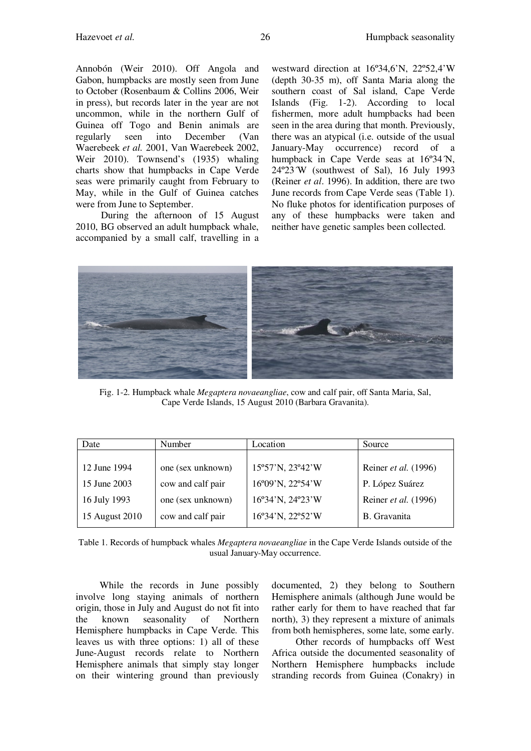Annobón (Weir 2010). Off Angola and Gabon, humpbacks are mostly seen from June to October (Rosenbaum & Collins 2006, Weir in press), but records later in the year are not uncommon, while in the northern Gulf of Guinea off Togo and Benin animals are regularly seen into December (Van Waerebeek *et al.* 2001, Van Waerebeek 2002, Weir 2010). Townsend's (1935) whaling charts show that humpbacks in Cape Verde seas were primarily caught from February to

were from June to September. During the afternoon of 15 August 2010, BG observed an adult humpback whale, accompanied by a small calf, travelling in a

May, while in the Gulf of Guinea catches

westward direction at 16º34,6'N, 22º52,4'W (depth 30-35 m), off Santa Maria along the southern coast of Sal island, Cape Verde Islands (Fig. 1-2). According to local fishermen, more adult humpbacks had been seen in the area during that month. Previously, there was an atypical (i.e. outside of the usual January-May occurrence) record of a humpback in Cape Verde seas at  $16^{\circ}34^{\circ}N$ , 24º23´W (southwest of Sal), 16 July 1993 (Reiner *et al*. 1996). In addition, there are two June records from Cape Verde seas (Table 1). No fluke photos for identification purposes of any of these humpbacks were taken and neither have genetic samples been collected.



Fig. 1-2. Humpback whale *Megaptera novaeangliae*, cow and calf pair, off Santa Maria, Sal, Cape Verde Islands, 15 August 2010 (Barbara Gravanita).

| Date           | <b>Number</b>     | Location         | Source               |
|----------------|-------------------|------------------|----------------------|
|                |                   |                  |                      |
| 12 June 1994   | one (sex unknown) | 15°57'N, 23°42'W | Reiner et al. (1996) |
| 15 June 2003   | cow and calf pair | 16°09'N, 22°54'W | P. López Suárez      |
| 16 July 1993   | one (sex unknown) | 16°34'N, 24°23'W | Reiner et al. (1996) |
| 15 August 2010 | cow and calf pair | 16°34'N, 22°52'W | <b>B.</b> Gravanita  |

Table 1. Records of humpback whales *Megaptera novaeangliae* in the Cape Verde Islands outside of the usual January-May occurrence.

While the records in June possibly involve long staying animals of northern origin, those in July and August do not fit into the known seasonality of Northern Hemisphere humpbacks in Cape Verde. This leaves us with three options: 1) all of these June-August records relate to Northern Hemisphere animals that simply stay longer on their wintering ground than previously

documented, 2) they belong to Southern Hemisphere animals (although June would be rather early for them to have reached that far north), 3) they represent a mixture of animals from both hemispheres, some late, some early.

Other records of humpbacks off West Africa outside the documented seasonality of Northern Hemisphere humpbacks include stranding records from Guinea (Conakry) in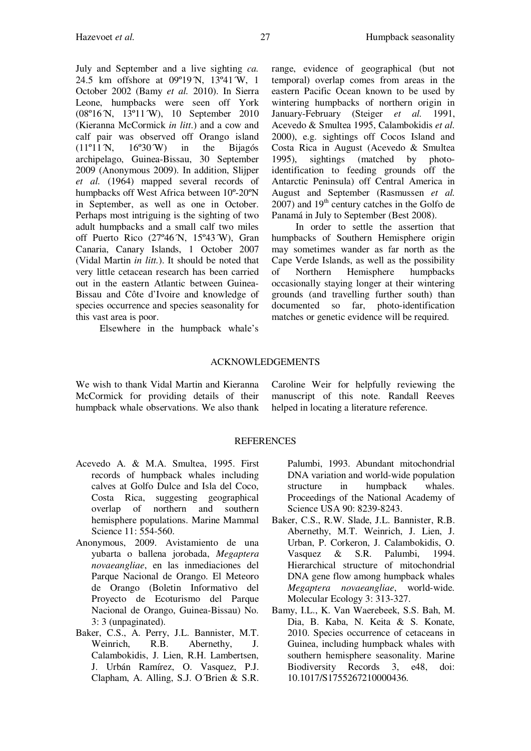July and September and a live sighting *ca.*  24.5 km offshore at 09°19′N, 13°41′W, 1 October 2002 (Bamy *et al.* 2010). In Sierra Leone, humpbacks were seen off York (08º16´N, 13º11´W), 10 September 2010 (Kieranna McCormick *in litt*.) and a cow and calf pair was observed off Orango island  $(11<sup>o</sup>11<sup>N</sup>, 16<sup>o</sup>30<sup>N</sup>)$  in the Bijagós archipelago, Guinea-Bissau, 30 September 2009 (Anonymous 2009). In addition, Slijper *et al.* (1964) mapped several records of humpbacks off West Africa between 10º-20ºN in September, as well as one in October. Perhaps most intriguing is the sighting of two adult humpbacks and a small calf two miles off Puerto Rico  $(27^{\circ}46^{\circ}N, 15^{\circ}43^{\circ}W)$ , Gran Canaria, Canary Islands, 1 October 2007 (Vidal Martin *in litt.*). It should be noted that very little cetacean research has been carried out in the eastern Atlantic between Guinea-Bissau and Côte d'Ivoire and knowledge of species occurrence and species seasonality for this vast area is poor.

Elsewhere in the humpback whale's

## ACKNOWLEDGEMENTS

We wish to thank Vidal Martin and Kieranna McCormick for providing details of their humpback whale observations. We also thank

Caroline Weir for helpfully reviewing the manuscript of this note. Randall Reeves helped in locating a literature reference.

## REFERENCES

- Acevedo A. & M.A. Smultea, 1995. First records of humpback whales including calves at Golfo Dulce and Isla del Coco, Costa Rica, suggesting geographical overlap of northern and southern hemisphere populations. Marine Mammal Science 11: 554-560.
- Anonymous, 2009. Avistamiento de una yubarta o ballena jorobada, *Megaptera novaeangliae*, en las inmediaciones del Parque Nacional de Orango. El Meteoro de Orango (Boletin Informativo del Proyecto de Ecoturismo del Parque Nacional de Orango, Guinea-Bissau) No. 3: 3 (unpaginated).
- Baker, C.S., A. Perry, J.L. Bannister, M.T. Weinrich, R.B. Abernethy, J. Calambokidis, J. Lien, R.H. Lambertsen, J. Urbán Ramírez, O. Vasquez, P.J. Clapham, A. Alling, S.J. O´Brien & S.R.

Palumbi, 1993. Abundant mitochondrial DNA variation and world-wide population structure in humpback whales. Proceedings of the National Academy of Science USA 90: 8239-8243.

- Baker, C.S., R.W. Slade, J.L. Bannister, R.B. Abernethy, M.T. Weinrich, J. Lien, J. Urban, P. Corkeron, J. Calambokidis, O. Vasquez & S.R. Palumbi, 1994. Hierarchical structure of mitochondrial DNA gene flow among humpback whales *Megaptera novaeangliae*, world-wide. Molecular Ecology 3: 313-327.
- Bamy, I.L., K. Van Waerebeek, S.S. Bah, M. Dia, B. Kaba, N. Keita & S. Konate, 2010. Species occurrence of cetaceans in Guinea, including humpback whales with southern hemisphere seasonality. Marine Biodiversity Records 3, e48, doi: 10.1017/S1755267210000436.

range, evidence of geographical (but not temporal) overlap comes from areas in the eastern Pacific Ocean known to be used by wintering humpbacks of northern origin in January-February (Steiger *et al.* 1991, Acevedo & Smultea 1995, Calambokidis *et al.*  2000), e.g. sightings off Cocos Island and Costa Rica in August (Acevedo & Smultea 1995), sightings (matched by photoidentification to feeding grounds off the Antarctic Peninsula) off Central America in August and September (Rasmussen *et al.*  $2007$ ) and  $19<sup>th</sup>$  century catches in the Golfo de Panamá in July to September (Best 2008).

In order to settle the assertion that humpbacks of Southern Hemisphere origin may sometimes wander as far north as the Cape Verde Islands, as well as the possibility of Northern Hemisphere humpbacks occasionally staying longer at their wintering grounds (and travelling further south) than documented so far, photo-identification matches or genetic evidence will be required.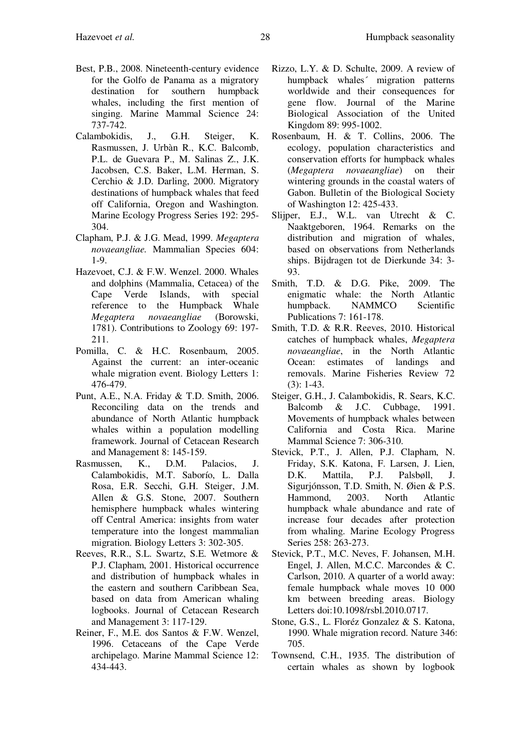- Best, P.B., 2008. Nineteenth-century evidence for the Golfo de Panama as a migratory destination for southern humpback whales, including the first mention of singing. Marine Mammal Science 24: 737-742.
- Calambokidis, J., G.H. Steiger, K. Rasmussen, J. Urbàn R., K.C. Balcomb, P.L. de Guevara P., M. Salinas Z., J.K. Jacobsen, C.S. Baker, L.M. Herman, S. Cerchio & J.D. Darling, 2000. Migratory destinations of humpback whales that feed off California, Oregon and Washington. Marine Ecology Progress Series 192: 295- 304.
- Clapham, P.J. & J.G. Mead, 1999. *Megaptera novaeangliae.* Mammalian Species 604: 1-9.
- Hazevoet, C.J. & F.W. Wenzel. 2000. Whales and dolphins (Mammalia, Cetacea) of the Cape Verde Islands, with special reference to the Humpback Whale *Megaptera novaeangliae* (Borowski, 1781). Contributions to Zoology 69: 197- 211.
- Pomilla, C. & H.C. Rosenbaum, 2005. Against the current: an inter-oceanic whale migration event. Biology Letters 1: 476-479.
- Punt, A.E., N.A. Friday & T.D. Smith, 2006. Reconciling data on the trends and abundance of North Atlantic humpback whales within a population modelling framework. Journal of Cetacean Research and Management 8: 145-159.
- Rasmussen, K., D.M. Palacios, J. Calambokidis, M.T. Saborío, L. Dalla Rosa, E.R. Secchi, G.H. Steiger, J.M. Allen & G.S. Stone, 2007. Southern hemisphere humpback whales wintering off Central America: insights from water temperature into the longest mammalian migration. Biology Letters 3: 302-305.
- Reeves, R.R., S.L. Swartz, S.E. Wetmore & P.J. Clapham, 2001. Historical occurrence and distribution of humpback whales in the eastern and southern Caribbean Sea, based on data from American whaling logbooks. Journal of Cetacean Research and Management 3: 117-129.
- Reiner, F., M.E. dos Santos & F.W. Wenzel, 1996. Cetaceans of the Cape Verde archipelago. Marine Mammal Science 12: 434-443.
- Rizzo, L.Y. & D. Schulte, 2009. A review of humpback whales´ migration patterns worldwide and their consequences for gene flow. Journal of the Marine Biological Association of the United Kingdom 89: 995-1002.
- Rosenbaum, H. & T. Collins, 2006. The ecology, population characteristics and conservation efforts for humpback whales (*Megaptera novaeangliae*) on their wintering grounds in the coastal waters of Gabon. Bulletin of the Biological Society of Washington 12: 425-433.
- Slijper, E.J., W.L. van Utrecht & C. Naaktgeboren, 1964. Remarks on the distribution and migration of whales, based on observations from Netherlands ships. Bijdragen tot de Dierkunde 34: 3- 93.
- Smith, T.D. & D.G. Pike, 2009. The enigmatic whale: the North Atlantic humpback. NAMMCO Scientific Publications 7: 161-178.
- Smith, T.D. & R.R. Reeves, 2010. Historical catches of humpback whales, *Megaptera novaeangliae*, in the North Atlantic Ocean: estimates of landings and removals. Marine Fisheries Review 72 (3): 1-43.
- Steiger, G.H., J. Calambokidis, R. Sears, K.C. Balcomb & J.C. Cubbage, 1991. Movements of humpback whales between California and Costa Rica. Marine Mammal Science 7: 306-310.
- Stevick, P.T., J. Allen, P.J. Clapham, N. Friday, S.K. Katona, F. Larsen, J. Lien, D.K. Mattila, P.J. Palsbøll, J. Sigurjónsson, T.D. Smith, N. Øien & P.S. Hammond, 2003. North Atlantic humpback whale abundance and rate of increase four decades after protection from whaling. Marine Ecology Progress Series 258: 263-273.
- Stevick, P.T., M.C. Neves, F. Johansen, M.H. Engel, J. Allen, M.C.C. Marcondes & C. Carlson, 2010. A quarter of a world away: female humpback whale moves 10 000 km between breeding areas. Biology Letters doi:10.1098/rsbl.2010.0717.
- Stone, G.S., L. Floréz Gonzalez & S. Katona, 1990. Whale migration record. Nature 346: 705.
- Townsend, C.H., 1935. The distribution of certain whales as shown by logbook